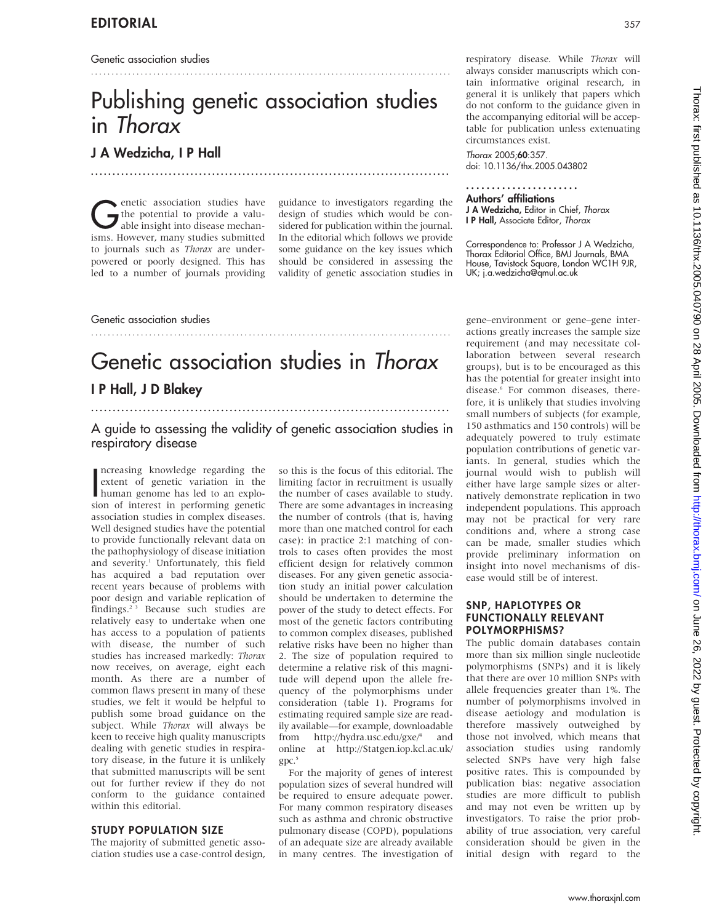## Genetic association studies

# Publishing genetic association studies in Thorax J A Wedzicha, I P Hall

...................................................................................

**C** enetic association studies have<br>the potential to provide a valu-<br>able insight into disease mechan-<br>irres. However, many studies submitted the potential to provide a valuable insight into disease mechanisms. However, many studies submitted to journals such as Thorax are underpowered or poorly designed. This has led to a number of journals providing

guidance to investigators regarding the design of studies which would be considered for publication within the journal. In the editorial which follows we provide some guidance on the key issues which should be considered in assessing the validity of genetic association studies in

Genetic association studies

# Genetic association studies in Thorax I P Hall, J D Blakey

.......................................................................................

# A guide to assessing the validity of genetic association studies in respiratory disease

...................................................................................

ncreasing knowledge regarding the<br>extent of genetic variation in the<br>human genome has led to an explo-<br>in of intervals ncreasing knowledge regarding the extent of genetic variation in the sion of interest in performing genetic association studies in complex diseases. Well designed studies have the potential to provide functionally relevant data on the pathophysiology of disease initiation and severity.<sup>1</sup> Unfortunately, this field has acquired a bad reputation over recent years because of problems with poor design and variable replication of findings.<sup>2</sup><sup>3</sup> Because such studies are relatively easy to undertake when one has access to a population of patients with disease, the number of such studies has increased markedly: Thorax now receives, on average, eight each month. As there are a number of common flaws present in many of these studies, we felt it would be helpful to publish some broad guidance on the subject. While Thorax will always be keen to receive high quality manuscripts dealing with genetic studies in respiratory disease, in the future it is unlikely that submitted manuscripts will be sent out for further review if they do not conform to the guidance contained within this editorial.

### STUDY POPULATION SIZE

The majority of submitted genetic association studies use a case-control design,

so this is the focus of this editorial. The limiting factor in recruitment is usually the number of cases available to study. There are some advantages in increasing the number of controls (that is, having more than one matched control for each case): in practice 2:1 matching of controls to cases often provides the most efficient design for relatively common diseases. For any given genetic association study an initial power calculation should be undertaken to determine the power of the study to detect effects. For most of the genetic factors contributing to common complex diseases, published relative risks have been no higher than 2. The size of population required to determine a relative risk of this magnitude will depend upon the allele frequency of the polymorphisms under consideration (table 1). Programs for estimating required sample size are readily available—for example, downloadable from http://hydra.usc.edu/gxe/4 and online at http://Statgen.iop.kcl.ac.uk/ gpc.<sup>5</sup>

For the majority of genes of interest population sizes of several hundred will be required to ensure adequate power. For many common respiratory diseases such as asthma and chronic obstructive pulmonary disease (COPD), populations of an adequate size are already available in many centres. The investigation of respiratory disease. While Thorax will always consider manuscripts which contain informative original research, in general it is unlikely that papers which do not conform to the guidance given in the accompanying editorial will be acceptable for publication unless extenuating circumstances exist.

Thorax 2005;60:357. doi: 10.1136/thx.2005.043802

#### Authors' affiliations ......................

J A Wedzicha, Editor in Chief, Thorax I P Hall, Associate Editor, Thorax

Correspondence to: Professor J A Wedzicha, Thorax Editorial Office, BMJ Journals, BMA House, Tavistock Square, London WC1H 9JR, UK; j.a.wedzicha@qmul.ac.uk

gene–environment or gene–gene interactions greatly increases the sample size requirement (and may necessitate collaboration between several research groups), but is to be encouraged as this has the potential for greater insight into disease.<sup>6</sup> For common diseases, therefore, it is unlikely that studies involving small numbers of subjects (for example, 150 asthmatics and 150 controls) will be adequately powered to truly estimate population contributions of genetic variants. In general, studies which the journal would wish to publish will either have large sample sizes or alternatively demonstrate replication in two independent populations. This approach may not be practical for very rare conditions and, where a strong case can be made, smaller studies which provide preliminary information on insight into novel mechanisms of disease would still be of interest.

## SNP, HAPLOTYPES OR FUNCTIONALLY RELEVANT POLYMORPHISMS?

The public domain databases contain more than six million single nucleotide polymorphisms (SNPs) and it is likely that there are over 10 million SNPs with allele frequencies greater than 1%. The number of polymorphisms involved in disease aetiology and modulation is therefore massively outweighed by those not involved, which means that association studies using randomly selected SNPs have very high false positive rates. This is compounded by publication bias: negative association studies are more difficult to publish and may not even be written up by investigators. To raise the prior probability of true association, very careful consideration should be given in the initial design with regard to the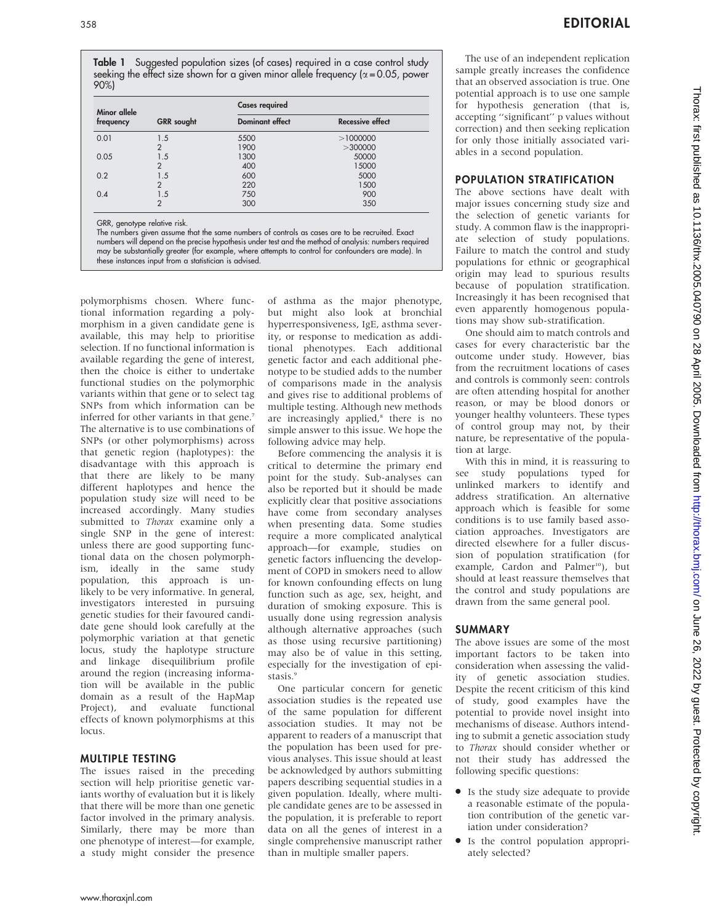Table 1 Suggested population sizes (of cases) required in a case control study seeking the effect size shown for a given minor allele frequency ( $\alpha$  = 0.05, power 90%)

| Minor allele<br>frequency |                   | <b>Cases required</b>  |                         |
|---------------------------|-------------------|------------------------|-------------------------|
|                           | <b>GRR</b> sought | <b>Dominant effect</b> | <b>Recessive effect</b> |
| 0.01                      | 1.5               | 5500                   | >1000000                |
|                           | $\mathcal{P}$     | 1900                   | >300000                 |
| 0.05                      | 1.5               | 1300                   | 50000                   |
|                           | $\mathcal{P}$     | 400                    | 15000                   |
| 0.2                       | 1.5               | 600                    | 5000                    |
|                           | $\mathcal{P}$     | 220                    | 1500                    |
| 0.4                       | 1.5               | 750                    | 900                     |
|                           | 2                 | 300                    | 350                     |

GRR, genotype relative risk.

The numbers given assume that the same numbers of controls as cases are to be recruited. Exact numbers will depend on the precise hypothesis under test and the method of analysis: numbers required may be substantially greater (for example, where attempts to control for confounders are made). In these instances input from a statistician is advised.

polymorphisms chosen. Where functional information regarding a polymorphism in a given candidate gene is available, this may help to prioritise selection. If no functional information is available regarding the gene of interest, then the choice is either to undertake functional studies on the polymorphic variants within that gene or to select tag SNPs from which information can be inferred for other variants in that gene.<sup>7</sup> The alternative is to use combinations of SNPs (or other polymorphisms) across that genetic region (haplotypes): the disadvantage with this approach is that there are likely to be many different haplotypes and hence the population study size will need to be increased accordingly. Many studies submitted to Thorax examine only a single SNP in the gene of interest: unless there are good supporting functional data on the chosen polymorphism, ideally in the same study population, this approach is unlikely to be very informative. In general, investigators interested in pursuing genetic studies for their favoured candidate gene should look carefully at the polymorphic variation at that genetic locus, study the haplotype structure and linkage disequilibrium profile around the region (increasing information will be available in the public domain as a result of the HapMap Project), and evaluate functional effects of known polymorphisms at this locus.

#### MULTIPLE TESTING

The issues raised in the preceding section will help prioritise genetic variants worthy of evaluation but it is likely that there will be more than one genetic factor involved in the primary analysis. Similarly, there may be more than one phenotype of interest—for example, a study might consider the presence

of asthma as the major phenotype, but might also look at bronchial hyperresponsiveness, IgE, asthma severity, or response to medication as additional phenotypes. Each additional genetic factor and each additional phenotype to be studied adds to the number of comparisons made in the analysis and gives rise to additional problems of multiple testing. Although new methods are increasingly applied, $s$  there is no simple answer to this issue. We hope the following advice may help.

Before commencing the analysis it is critical to determine the primary end point for the study. Sub-analyses can also be reported but it should be made explicitly clear that positive associations have come from secondary analyses when presenting data. Some studies require a more complicated analytical approach—for example, studies on genetic factors influencing the development of COPD in smokers need to allow for known confounding effects on lung function such as age, sex, height, and duration of smoking exposure. This is usually done using regression analysis although alternative approaches (such as those using recursive partitioning) may also be of value in this setting, especially for the investigation of epistasis.<sup>9</sup>

One particular concern for genetic association studies is the repeated use of the same population for different association studies. It may not be apparent to readers of a manuscript that the population has been used for previous analyses. This issue should at least be acknowledged by authors submitting papers describing sequential studies in a given population. Ideally, where multiple candidate genes are to be assessed in the population, it is preferable to report data on all the genes of interest in a single comprehensive manuscript rather than in multiple smaller papers.

The use of an independent replication sample greatly increases the confidence that an observed association is true. One potential approach is to use one sample for hypothesis generation (that is, accepting ''significant'' p values without correction) and then seeking replication for only those initially associated variables in a second population.

#### POPULATION STRATIFICATION

The above sections have dealt with major issues concerning study size and the selection of genetic variants for study. A common flaw is the inappropriate selection of study populations. Failure to match the control and study populations for ethnic or geographical origin may lead to spurious results because of population stratification. Increasingly it has been recognised that even apparently homogenous populations may show sub-stratification.

One should aim to match controls and cases for every characteristic bar the outcome under study. However, bias from the recruitment locations of cases and controls is commonly seen: controls are often attending hospital for another reason, or may be blood donors or younger healthy volunteers. These types of control group may not, by their nature, be representative of the population at large.

With this in mind, it is reassuring to see study populations typed for unlinked markers to identify and address stratification. An alternative approach which is feasible for some conditions is to use family based association approaches. Investigators are directed elsewhere for a fuller discussion of population stratification (for example, Cardon and Palmer<sup>10</sup>), but should at least reassure themselves that the control and study populations are drawn from the same general pool.

#### SUMMARY

The above issues are some of the most important factors to be taken into consideration when assessing the validity of genetic association studies. Despite the recent criticism of this kind of study, good examples have the potential to provide novel insight into mechanisms of disease. Authors intending to submit a genetic association study to Thorax should consider whether or not their study has addressed the following specific questions:

- Is the study size adequate to provide a reasonable estimate of the population contribution of the genetic variation under consideration?
- $\bullet$  Is the control population appropriately selected?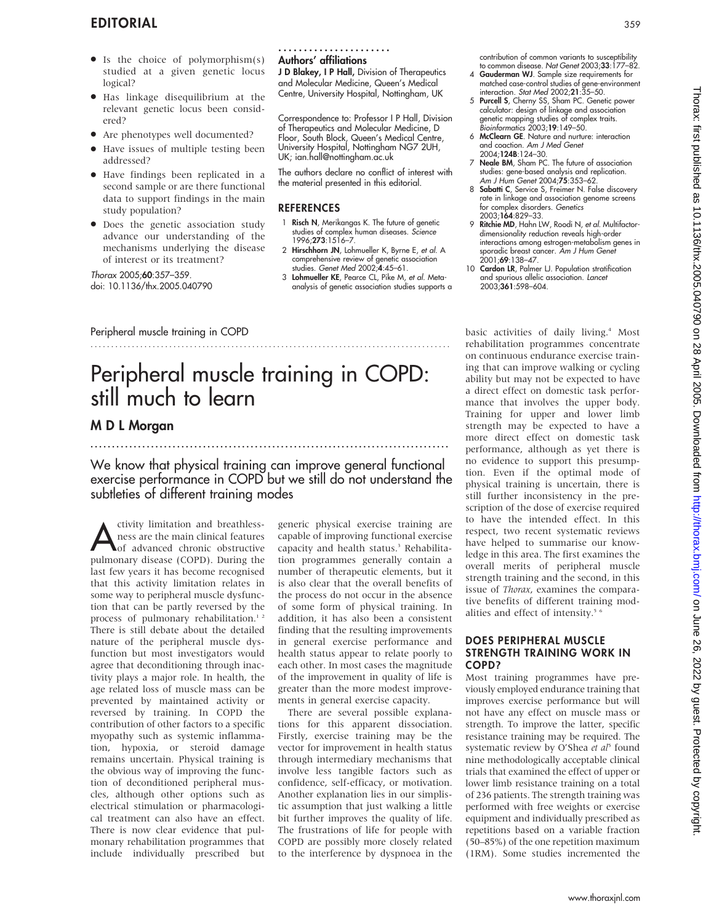# EDITORIAL <sup>359</sup>

- $\bullet$  Is the choice of polymorphism(s) studied at a given genetic locus logical?
- $\bullet$  Has linkage disequilibrium at the relevant genetic locus been considered?
- Are phenotypes well documented?
- Have issues of multiple testing been addressed?
- N Have findings been replicated in a second sample or are there functional data to support findings in the main study population?
- Does the genetic association study advance our understanding of the mechanisms underlying the disease of interest or its treatment?

Thorax 2005;60:357–359. doi: 10.1136/thx.2005.040790

## ......................

Authors' affiliations

J D Blakey, I P Hall, Division of Therapeutics and Molecular Medicine, Queen's Medical Centre, University Hospital, Nottingham, UK

Correspondence to: Professor I P Hall, Division of Therapeutics and Molecular Medicine, D Floor, South Block, Queen's Medical Centre, University Hospital, Nottingham NG7 2UH, UK; ian.hall@nottingham.ac.uk

The authors declare no conflict of interest with the material presented in this editorial.

### **REFERENCES**

- 1 Risch N, Merikangas K. The future of genetic studies of complex human diseases. Science 1996;273:1516–7.
- 2 Hirschhorn JN, Lohmueller K, Byrne E, et al. A comprehensive review of genetic association studies. Genet Med 2002;4:45–61.
- 3 Lohmueller KE, Pearce CL, Pike M, et al. Metaanalysis of genetic association studies supports a

contribution of common variants to susceptibility to common disease. Nat Genet 2003;33:177–82.

- 4 Gauderman WJ. Sample size requirements for matched case-control studies of gene-environment interaction. Stat Med 2002;21:35–50.
- 5 Purcell S, Cherny SS, Sham PC. Genetic power calculator: design of linkage and association genetic mapping studies of complex traits. Bioinformatics 2003;19:149–50.
- 6 McClearn GE. Nature and nurture: interaction and coaction. Am J Med Genet 2004;124B:124–30.
- Neale BM, Sham PC. The future of association studies: gene-based analysis and replication. Am J Hum Genet 2004;75:353–62.
- 8 Sabatti C, Service S, Freimer N. False discovery rate in linkage and association genome screens for complex disorders. Genetics 2003;164:829–33.
- 9 Ritchie MD, Hahn LW, Roodi N, et al. Multifactordimensionality reduction reveals high-order interactions among estrogen-metabolism genes in sporadic breast cancer. Am J Hum Genet 2001;69:138–47.
- 10 Cardon LR, Palmer LJ. Population stratification and spurious allelic association. Lancet 2003;361:598–604.

Peripheral muscle training in COPD

# Peripheral muscle training in COPD: still much to learn

.......................................................................................

# M D L Morgan

# We know that physical training can improve general functional exercise performance in COPD but we still do not understand the subtleties of different training modes

...................................................................................

Activity limitation and breathless-<br>ness are the main clinical features<br>of advanced chronic obstructive ness are the main clinical features of advanced chronic obstructive pulmonary disease (COPD). During the last few years it has become recognised that this activity limitation relates in some way to peripheral muscle dysfunction that can be partly reversed by the process of pulmonary rehabilitation.<sup>12</sup> There is still debate about the detailed nature of the peripheral muscle dysfunction but most investigators would agree that deconditioning through inactivity plays a major role. In health, the age related loss of muscle mass can be prevented by maintained activity or reversed by training. In COPD the contribution of other factors to a specific myopathy such as systemic inflammation, hypoxia, or steroid damage remains uncertain. Physical training is the obvious way of improving the function of deconditioned peripheral muscles, although other options such as electrical stimulation or pharmacological treatment can also have an effect. There is now clear evidence that pulmonary rehabilitation programmes that include individually prescribed but

generic physical exercise training are capable of improving functional exercise capacity and health status.<sup>3</sup> Rehabilitation programmes generally contain a number of therapeutic elements, but it is also clear that the overall benefits of the process do not occur in the absence of some form of physical training. In addition, it has also been a consistent finding that the resulting improvements in general exercise performance and health status appear to relate poorly to each other. In most cases the magnitude of the improvement in quality of life is greater than the more modest improvements in general exercise capacity.

There are several possible explanations for this apparent dissociation. Firstly, exercise training may be the vector for improvement in health status through intermediary mechanisms that involve less tangible factors such as confidence, self-efficacy, or motivation. Another explanation lies in our simplistic assumption that just walking a little bit further improves the quality of life. The frustrations of life for people with COPD are possibly more closely related to the interference by dyspnoea in the

basic activities of daily living.<sup>4</sup> Most rehabilitation programmes concentrate on continuous endurance exercise training that can improve walking or cycling ability but may not be expected to have a direct effect on domestic task performance that involves the upper body. Training for upper and lower limb strength may be expected to have a more direct effect on domestic task performance, although as yet there is no evidence to support this presumption. Even if the optimal mode of physical training is uncertain, there is still further inconsistency in the prescription of the dose of exercise required to have the intended effect. In this respect, two recent systematic reviews have helped to summarise our knowledge in this area. The first examines the overall merits of peripheral muscle strength training and the second, in this issue of Thorax, examines the comparative benefits of different training modalities and effect of intensity.<sup>5 6</sup>

### DOES PERIPHERAL MUSCLE STRENGTH TRAINING WORK IN COPD?

Most training programmes have previously employed endurance training that improves exercise performance but will not have any effect on muscle mass or strength. To improve the latter, specific resistance training may be required. The systematic review by O'Shea et al<sup>5</sup> found nine methodologically acceptable clinical trials that examined the effect of upper or lower limb resistance training on a total of 236 patients. The strength training was performed with free weights or exercise equipment and individually prescribed as repetitions based on a variable fraction (50–85%) of the one repetition maximum (1RM). Some studies incremented the

www.thoraxjnl.com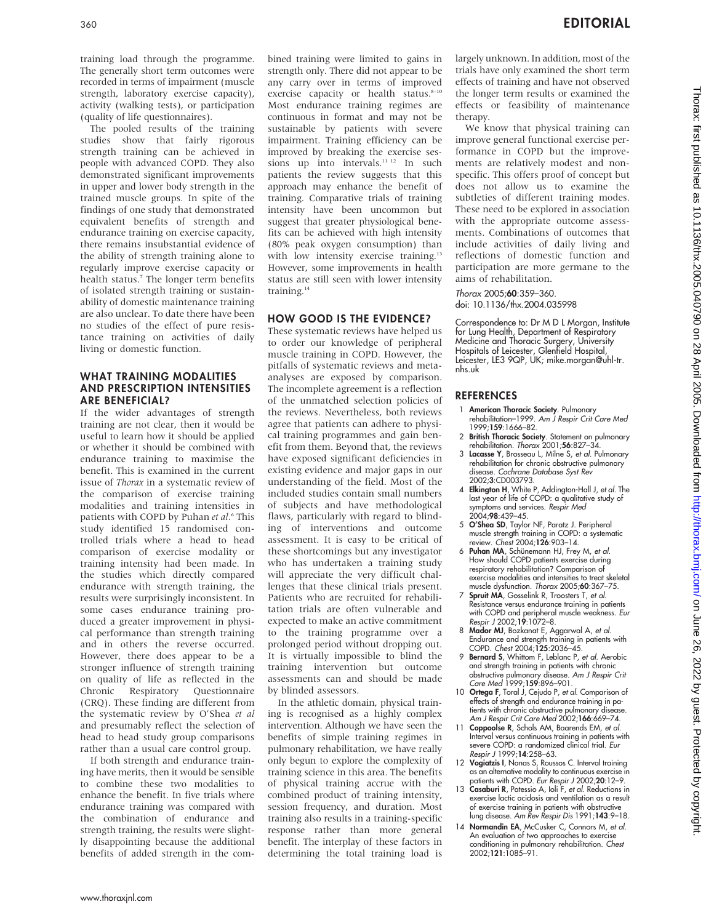The pooled results of the training studies show that fairly rigorous strength training can be achieved in people with advanced COPD. They also demonstrated significant improvements in upper and lower body strength in the trained muscle groups. In spite of the findings of one study that demonstrated equivalent benefits of strength and endurance training on exercise capacity, there remains insubstantial evidence of the ability of strength training alone to regularly improve exercise capacity or health status.<sup>7</sup> The longer term benefits of isolated strength training or sustainability of domestic maintenance training are also unclear. To date there have been no studies of the effect of pure resistance training on activities of daily living or domestic function.

#### WHAT TRAINING MODALITIES AND PRESCRIPTION INTENSITIES ARE BENEFICIAL?

If the wider advantages of strength training are not clear, then it would be useful to learn how it should be applied or whether it should be combined with endurance training to maximise the benefit. This is examined in the current issue of Thorax in a systematic review of the comparison of exercise training modalities and training intensities in patients with COPD by Puhan et al.<sup>6</sup> This study identified 15 randomised controlled trials where a head to head comparison of exercise modality or training intensity had been made. In the studies which directly compared endurance with strength training, the results were surprisingly inconsistent. In some cases endurance training produced a greater improvement in physical performance than strength training and in others the reverse occurred. However, there does appear to be a stronger influence of strength training on quality of life as reflected in the Chronic Respiratory Questionnaire (CRQ). These finding are different from the systematic review by O'Shea et al and presumably reflect the selection of head to head study group comparisons rather than a usual care control group.

If both strength and endurance training have merits, then it would be sensible to combine these two modalities to enhance the benefit. In five trials where endurance training was compared with the combination of endurance and strength training, the results were slightly disappointing because the additional benefits of added strength in the com-

bined training were limited to gains in strength only. There did not appear to be any carry over in terms of improved exercise capacity or health status.<sup>8-10</sup> Most endurance training regimes are continuous in format and may not be sustainable by patients with severe impairment. Training efficiency can be improved by breaking the exercise sessions up into intervals.<sup>11 12</sup> In such patients the review suggests that this approach may enhance the benefit of training. Comparative trials of training intensity have been uncommon but suggest that greater physiological benefits can be achieved with high intensity (80% peak oxygen consumption) than with low intensity exercise training.<sup>13</sup> However, some improvements in health status are still seen with lower intensity training.<sup>14</sup>

## HOW GOOD IS THE EVIDENCE?

These systematic reviews have helped us to order our knowledge of peripheral muscle training in COPD. However, the pitfalls of systematic reviews and metaanalyses are exposed by comparison. The incomplete agreement is a reflection of the unmatched selection policies of the reviews. Nevertheless, both reviews agree that patients can adhere to physical training programmes and gain benefit from them. Beyond that, the reviews have exposed significant deficiencies in existing evidence and major gaps in our understanding of the field. Most of the included studies contain small numbers of subjects and have methodological flaws, particularly with regard to blinding of interventions and outcome assessment. It is easy to be critical of these shortcomings but any investigator who has undertaken a training study will appreciate the very difficult challenges that these clinical trials present. Patients who are recruited for rehabilitation trials are often vulnerable and expected to make an active commitment to the training programme over a prolonged period without dropping out. It is virtually impossible to blind the training intervention but outcome assessments can and should be made by blinded assessors.

In the athletic domain, physical training is recognised as a highly complex intervention. Although we have seen the benefits of simple training regimes in pulmonary rehabilitation, we have really only begun to explore the complexity of training science in this area. The benefits of physical training accrue with the combined product of training intensity, session frequency, and duration. Most training also results in a training-specific response rather than more general benefit. The interplay of these factors in determining the total training load is

largely unknown. In addition, most of the trials have only examined the short term effects of training and have not observed the longer term results or examined the effects or feasibility of maintenance therapy.

We know that physical training can improve general functional exercise performance in COPD but the improvements are relatively modest and nonspecific. This offers proof of concept but does not allow us to examine the subtleties of different training modes. These need to be explored in association with the appropriate outcome assessments. Combinations of outcomes that include activities of daily living and reflections of domestic function and participation are more germane to the aims of rehabilitation.

Thorax 2005;60:359–360. doi: 10.1136/thx.2004.035998

Correspondence to: Dr M D L Morgan, Institute for Lung Health, Department of Respiratory Medicine and Thoracic Surgery, University Hospitals of Leicester, Glenfield Hospital, Leicester, LE3 9QP, UK; mike.morgan@uhl-tr. nhs.uk

### **REFERENCES**

- 1 American Thoracic Society. Pulmonary rehabilitation–1999. Am J Respir Crit Care Med 1999;159:1666–82.
- 2 British Thoracic Society. Statement on pulmonary rehabilitation. Thorax 2001;56:827–34.
- 3 Lacasse Y, Brosseau L, Milne S, et al. Pulmonary rehabilitation for chronic obstructive pulmonary disease. Cochrane Database Syst Rev 2002;3:CD003793.
- 4 Elkington H, White P, Addington-Hall J, et al. The last year of life of COPD: a qualitative study of symptoms and services. Respir Med 2004;98:439–45.
- 5 O'Shea SD, Taylor NF, Paratz J. Peripheral muscle strength training in COPD: a systematic<br>review. *Chest* 2004;**126**:903–14.
- 6 Puhan MA, Schünemann HJ, Frey M, et al. How should COPD patients exercise during respiratory rehabilitation? Comparison of exercise modalities and intensities to treat skeletal muscle dysfunction. Thorax 2005;60:367–75.
- 7 Spruit MA, Gosselink R, Troosters T, et al. Resistance versus endurance training in patients with COPD and peripheral muscle weakness. Eur Respir J 2002;19:1072–8.
- 8 Mador MJ, Bozkanat E, Aggarwal A, et al. Endurance and strength training in patients with COPD. Chest 2004;125:2036-45.
- 9 **Bernard S**, Whittom F, Leblanc P, et al. Aerobic and strength training in patients with chronic obstructive pulmonary disease. Am J Respir Crit Care Med 1999;159:896–901.
- 10 **Ortega F**, Toral J, Cejudo P, et al. Comparison of effects of strength and endurance training in patients with chronic obstructive pulmonary disease. Am J Respir Crit Care Med 2002;**166**:669–74.
- 11 Coppoolse R, Schols AM, Baarends EM, et al. Interval versus continuous training in patients with severe COPD: a randomized clinical trial. Eur Respir J 1999;14:258–63.
- 12 Vogiatzis I, Nanas S, Roussos C. Interval training as an alternative modality to continuous exercise in patients with COPD. Eur Respir J 2002;20:12-9.
- 13 Casaburi R, Patessio A, Ioli F, et al. Reductions in exercise lactic acidosis and ventilation as a result of exercise training in patients with obstructive<br>lung disease. *Am Rev Respir Dis* 1991;**143**:9–18.
- 14 Normandin EA, McCusker C, Connors M, et al. An evaluation of two approaches to exercise conditioning in pulmonary rehabilitation. *Chest*<br>2002;**121**:1085–91.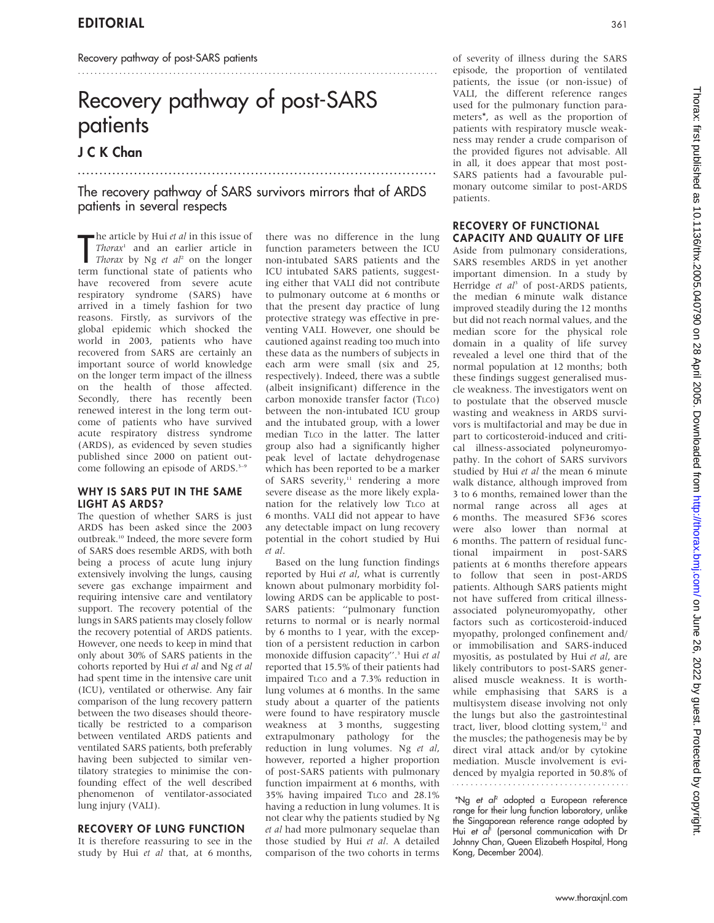# Recovery pathway of post-SARS patients J C K Chan

# The recovery pathway of SARS survivors mirrors that of ARDS patients in several respects

...................................................................................

The article by Hui et al in this issue of<br>Thorax<sup>1</sup> and an earlier article in<br>Thorax by Ng et al<sup>2</sup> on the longer<br>term functional state of patients who he article by Hui et al in this issue of Thorax<sup>1</sup> and an earlier article in Thorax by Ng et  $al^2$  on the longer have recovered from severe acute respiratory syndrome (SARS) have arrived in a timely fashion for two reasons. Firstly, as survivors of the global epidemic which shocked the world in 2003, patients who have recovered from SARS are certainly an important source of world knowledge on the longer term impact of the illness on the health of those affected. Secondly, there has recently been renewed interest in the long term outcome of patients who have survived acute respiratory distress syndrome (ARDS), as evidenced by seven studies published since 2000 on patient outcome following an episode of ARDS.<sup>3-9</sup>

#### WHY IS SARS PUT IN THE SAME LIGHT AS ARDS?

The question of whether SARS is just ARDS has been asked since the 2003 outbreak.10 Indeed, the more severe form of SARS does resemble ARDS, with both being a process of acute lung injury extensively involving the lungs, causing severe gas exchange impairment and requiring intensive care and ventilatory support. The recovery potential of the lungs in SARS patients may closely follow the recovery potential of ARDS patients. However, one needs to keep in mind that only about 30% of SARS patients in the cohorts reported by Hui et al and Ng et al had spent time in the intensive care unit (ICU), ventilated or otherwise. Any fair comparison of the lung recovery pattern between the two diseases should theoretically be restricted to a comparison between ventilated ARDS patients and ventilated SARS patients, both preferably having been subjected to similar ventilatory strategies to minimise the confounding effect of the well described phenomenon of ventilator-associated lung injury (VALI).

### RECOVERY OF LUNG FUNCTION

It is therefore reassuring to see in the study by Hui et al that, at 6 months,

there was no difference in the lung function parameters between the ICU non-intubated SARS patients and the ICU intubated SARS patients, suggesting either that VALI did not contribute to pulmonary outcome at 6 months or that the present day practice of lung protective strategy was effective in preventing VALI. However, one should be cautioned against reading too much into these data as the numbers of subjects in each arm were small (six and 25, respectively). Indeed, there was a subtle (albeit insignificant) difference in the carbon monoxide transfer factor (TLCO) between the non-intubated ICU group and the intubated group, with a lower median TLCO in the latter. The latter group also had a significantly higher peak level of lactate dehydrogenase which has been reported to be a marker of SARS severity,<sup>11</sup> rendering a more severe disease as the more likely explanation for the relatively low TLCO at 6 months. VALI did not appear to have any detectable impact on lung recovery potential in the cohort studied by Hui et al.

.......................................................................................

Based on the lung function findings reported by Hui et al, what is currently known about pulmonary morbidity following ARDS can be applicable to post-SARS patients: ''pulmonary function returns to normal or is nearly normal by 6 months to 1 year, with the exception of a persistent reduction in carbon monoxide diffusion capacity''.3 Hui et al reported that 15.5% of their patients had impaired TLCO and a 7.3% reduction in lung volumes at 6 months. In the same study about a quarter of the patients were found to have respiratory muscle weakness at 3 months, suggesting extrapulmonary pathology for the reduction in lung volumes. Ng et al, however, reported a higher proportion of post-SARS patients with pulmonary function impairment at 6 months, with 35% having impaired TLCO and 28.1% having a reduction in lung volumes. It is not clear why the patients studied by Ng et al had more pulmonary sequelae than those studied by Hui et al. A detailed comparison of the two cohorts in terms of severity of illness during the SARS episode, the proportion of ventilated patients, the issue (or non-issue) of VALI, the different reference ranges used for the pulmonary function parameters\*, as well as the proportion of patients with respiratory muscle weakness may render a crude comparison of the provided figures not advisable. All in all, it does appear that most post-SARS patients had a favourable pulmonary outcome similar to post-ARDS patients.

## RECOVERY OF FUNCTIONAL CAPACITY AND QUALITY OF LIFE

Aside from pulmonary considerations, SARS resembles ARDS in yet another important dimension. In a study by Herridge et  $a^{\dagger}$  of post-ARDS patients, the median 6 minute walk distance improved steadily during the 12 months but did not reach normal values, and the median score for the physical role domain in a quality of life survey revealed a level one third that of the normal population at 12 months; both these findings suggest generalised muscle weakness. The investigators went on to postulate that the observed muscle wasting and weakness in ARDS survivors is multifactorial and may be due in part to corticosteroid-induced and critical illness-associated polyneuromyopathy. In the cohort of SARS survivors studied by Hui et al the mean 6 minute walk distance, although improved from 3 to 6 months, remained lower than the normal range across all ages at 6 months. The measured SF36 scores were also lower than normal at 6 months. The pattern of residual functional impairment in post-SARS patients at 6 months therefore appears to follow that seen in post-ARDS patients. Although SARS patients might not have suffered from critical illnessassociated polyneuromyopathy, other factors such as corticosteroid-induced myopathy, prolonged confinement and/ or immobilisation and SARS-induced myositis, as postulated by Hui et al, are likely contributors to post-SARS generalised muscle weakness. It is worthwhile emphasising that SARS is a multisystem disease involving not only the lungs but also the gastrointestinal tract, liver, blood clotting system, $12$  and the muscles; the pathogenesis may be by direct viral attack and/or by cytokine mediation. Muscle involvement is evidenced by myalgia reported in 50.8% of 

 $*$ Ng et a $l^2$  adopted a European reference range for their lung function laboratory, unlike the Singaporean reference range adopted by Hui et al<sup>i</sup> (personal communication with Dr Johnny Chan, Queen Elizabeth Hospital, Hong Kong, December 2004).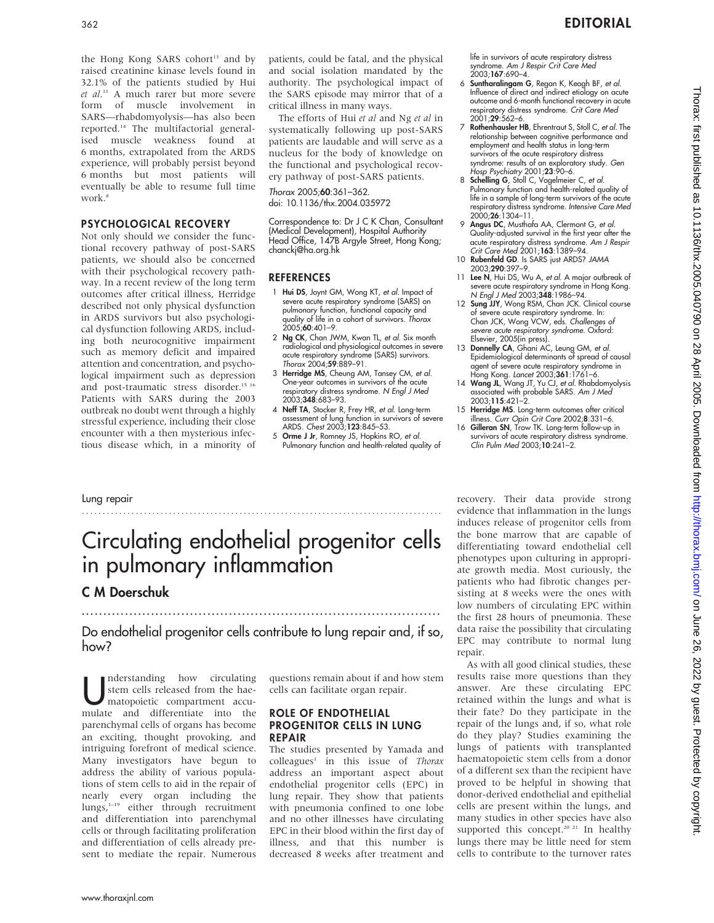the Hong Kong SARS cohort<sup>13</sup> and by raised creatinine kinase levels found in 32.1% of the patients studied by Hui et al.<sup>11</sup> A much rarer but more severe form of muscle involvement in SARS—rhabdomyolysis—has also been reported.14 The multifactorial generalised muscle weakness found at 6 months, extrapolated from the ARDS experience, will probably persist beyond 6 months but most patients will eventually be able to resume full time work<sup>8</sup>

#### PSYCHOLOGICAL RECOVERY

Not only should we consider the functional recovery pathway of post-SARS patients, we should also be concerned with their psychological recovery pathway. In a recent review of the long term outcomes after critical illness, Herridge described not only physical dysfunction in ARDS survivors but also psychological dysfunction following ARDS, including both neurocognitive impairment such as memory deficit and impaired attention and concentration, and psychological impairment such as depression and post-traumatic stress disorder.<sup>15 16</sup> Patients with SARS during the 2003 outbreak no doubt went through a highly stressful experience, including their close encounter with a then mysterious infectious disease which, in a minority of patients, could be fatal, and the physical and social isolation mandated by the authority. The psychological impact of the SARS episode may mirror that of a critical illness in many ways.

The efforts of Hui et al and Ng et al in systematically following up post-SARS patients are laudable and will serve as a nucleus for the body of knowledge on the functional and psychological recovery pathway of post-SARS patients.

Thorax 2005;60:361–362. doi: 10.1136/thx.2004.035972

Correspondence to: Dr J C K Chan, Consultant (Medical Development), Hospital Authority Head Office, 147B Argyle Street, Hong Kong; chanckj@ha.org.hk

### **REFERENCES**

- 1 Hui DS, Joynt GM, Wong KT, et al. Impact of severe acute respiratory syndrome (SARS) on pulmonary function, functional capacity and quality of life in a cohort of survivors. Thorax 2005;60:401–9.
- 2 Ng CK, Chan JWM, Kwan TL, et al. Six month radiological and physiological outcomes in severe acute respiratory syndrome (SARS) survivors. Thorax 2004;59:889–91.
- 3 Herridge MS, Cheung AM, Tansey CM, et al. One-year outcomes in survivors of the acute respiratory distress syndrome. N Engl J Med 2003;348:683–93.
- 4 Neff TA, Stocker R, Frey HR, et al. Long-term assessment of lung function in survivors of severe ARDS. Chest 2003;123:845–53.
- 5 Orme J Jr, Romney JS, Hopkins RO, et al. Pulmonary function and health-related quality of

life in survivors of acute respiratory distress syndrome. Am J Respir Crit Care Med 2003;167:690–4.

- 6 Suntharalingam G, Regan K, Keogh BF, et al. Influence of direct and indirect etiology on acute outcome and 6-month functional recovery in acute respiratory distress syndrome. Crit Care Med 2001;29:562–6.
- 7 Rothenhausler HB, Ehrentraut S, Stoll C, et al. The relationship between cognitive performance and employment and health status in long-term survivors of the acute respiratory distress syndrome: results of an exploratory study. Gen Hosp Psychiatry 2001;23:90–6.
- 8 **Schelling G**, Stoll C, Vogelmeier C, *et al.*<br>Pulmonary function and health-related quality of life in a sample of long-term survivors of the acute respiratory distress syndrome. Intensive Care Med 2000;26:1304–11.
- 9 Angus DC, Musthafa AA, Clermont G, et al. Quality-adjusted survival in the first year after the acute respiratory distress syndrome. A*m J Respir*<br>Crit Care Med 2001;**163**:1389–94.
- 10 Rubenfeld GD. Is SARS just ARDS? JAMA 2003;290:397–9.
- 11 Lee N, Hui DS, Wu A, et al. A major outbreak of severe acute respiratory syndrome in Hong Kong. N Engl J Med 2003;348:1986–94.
- 12 Sung JJY, Wong RSM, Chan JCK. Clinical course of severe acute respiratory syndrome. In: Chan JCK, Wong VCW, eds. Challenges of severe acute respiratory syndrome. Oxford: Elsevier, 2005(in press).
- 13 Donnelly CA, Ghani AC, Leung GM, et al. Epidemiological determinants of spread of causal agent of severe acute respiratory syndrome in<br>Hong Kong. *Lancet* 2003;**361**:1761–6.
- 14 Wang JL, Wang JT, Yu CJ, et al. Rhabdomyolysis associated with probable SARS. Am J Med 2003;115:421–2.
- 15 Herridge MS. Long-term outcomes after critical illness. Curr Opin Crit Care 2002;8:331–6.
- Gilleran SN, Trow TK. Long-term follow-up in survivors of acute respiratory distress syndrome. Clin Pulm Med 2003;10:241–2.

#### Lung repair

# Circulating endothelial progenitor cells in pulmonary inflammation

.......................................................................................

# C M Doerschuk

Do endothelial progenitor cells contribute to lung repair and, if so, how?

...................................................................................

Inderstanding how circulating<br>stem cells released from the hae-<br>matopoietic compartment accustem cells released from the haematopoietic compartment accumulate and differentiate into the parenchymal cells of organs has become an exciting, thought provoking, and intriguing forefront of medical science. Many investigators have begun to address the ability of various populations of stem cells to aid in the repair of nearly every organ including the lungs,<sup>1-19</sup> either through recruitment and differentiation into parenchymal cells or through facilitating proliferation and differentiation of cells already present to mediate the repair. Numerous

questions remain about if and how stem cells can facilitate organ repair.

#### ROLE OF ENDOTHELIAL PROGENITOR CELLS IN LUNG REPAIR

The studies presented by Yamada and colleagues<sup>1</sup> in this issue of Thorax address an important aspect about endothelial progenitor cells (EPC) in lung repair. They show that patients with pneumonia confined to one lobe and no other illnesses have circulating EPC in their blood within the first day of illness, and that this number is decreased 8 weeks after treatment and recovery. Their data provide strong evidence that inflammation in the lungs induces release of progenitor cells from the bone marrow that are capable of differentiating toward endothelial cell phenotypes upon culturing in appropriate growth media. Most curiously, the patients who had fibrotic changes persisting at 8 weeks were the ones with low numbers of circulating EPC within the first 28 hours of pneumonia. These data raise the possibility that circulating EPC may contribute to normal lung repair.

As with all good clinical studies, these results raise more questions than they answer. Are these circulating EPC retained within the lungs and what is their fate? Do they participate in the repair of the lungs and, if so, what role do they play? Studies examining the lungs of patients with transplanted haematopoietic stem cells from a donor of a different sex than the recipient have proved to be helpful in showing that donor-derived endothelial and epithelial cells are present within the lungs, and many studies in other species have also supported this concept.<sup>20 21</sup> In healthy lungs there may be little need for stem cells to contribute to the turnover rates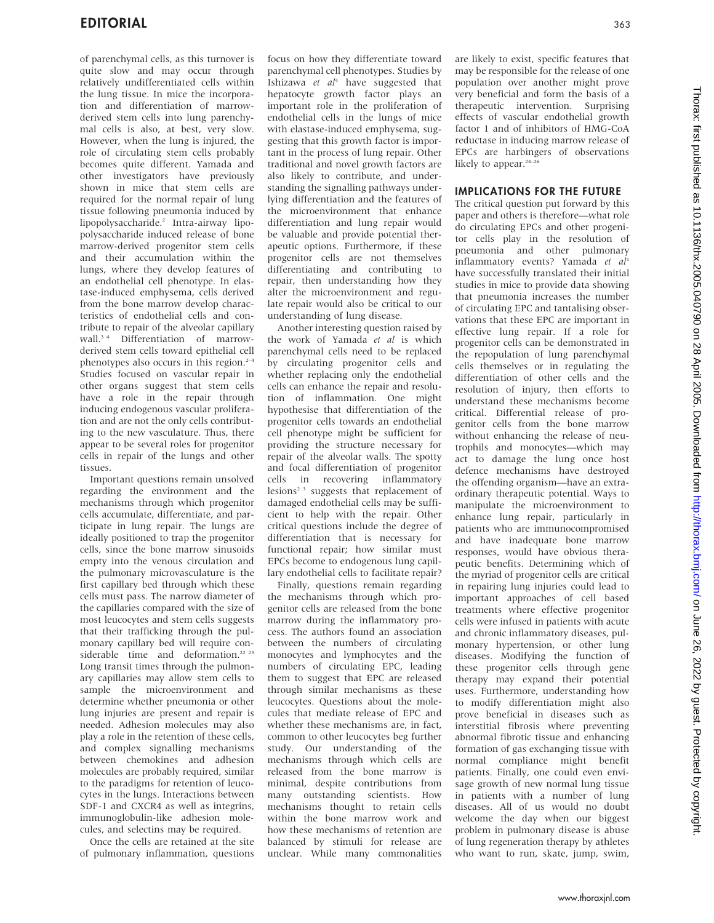of parenchymal cells, as this turnover is quite slow and may occur through relatively undifferentiated cells within the lung tissue. In mice the incorporation and differentiation of marrowderived stem cells into lung parenchymal cells is also, at best, very slow. However, when the lung is injured, the role of circulating stem cells probably becomes quite different. Yamada and other investigators have previously shown in mice that stem cells are required for the normal repair of lung tissue following pneumonia induced by lipopolysaccharide.2 Intra-airway lipopolysaccharide induced release of bone marrow-derived progenitor stem cells and their accumulation within the lungs, where they develop features of an endothelial cell phenotype. In elastase-induced emphysema, cells derived from the bone marrow develop characteristics of endothelial cells and contribute to repair of the alveolar capillary wall.<sup>34</sup> Differentiation of marrowderived stem cells toward epithelial cell phenotypes also occurs in this region. $2-4$ Studies focused on vascular repair in other organs suggest that stem cells have a role in the repair through inducing endogenous vascular proliferation and are not the only cells contributing to the new vasculature. Thus, there appear to be several roles for progenitor cells in repair of the lungs and other tissues.

Important questions remain unsolved regarding the environment and the mechanisms through which progenitor cells accumulate, differentiate, and participate in lung repair. The lungs are ideally positioned to trap the progenitor cells, since the bone marrow sinusoids empty into the venous circulation and the pulmonary microvasculature is the first capillary bed through which these cells must pass. The narrow diameter of the capillaries compared with the size of most leucocytes and stem cells suggests that their trafficking through the pulmonary capillary bed will require considerable time and deformation.<sup>22 23</sup> Long transit times through the pulmonary capillaries may allow stem cells to sample the microenvironment and determine whether pneumonia or other lung injuries are present and repair is needed. Adhesion molecules may also play a role in the retention of these cells, and complex signalling mechanisms between chemokines and adhesion molecules are probably required, similar to the paradigms for retention of leucocytes in the lungs. Interactions between SDF-1 and CXCR4 as well as integrins, immunoglobulin-like adhesion molecules, and selectins may be required.

Once the cells are retained at the site of pulmonary inflammation, questions focus on how they differentiate toward parenchymal cell phenotypes. Studies by Ishizawa et  $al<sup>4</sup>$  have suggested that hepatocyte growth factor plays an important role in the proliferation of endothelial cells in the lungs of mice with elastase-induced emphysema, suggesting that this growth factor is important in the process of lung repair. Other traditional and novel growth factors are also likely to contribute, and understanding the signalling pathways underlying differentiation and the features of the microenvironment that enhance differentiation and lung repair would be valuable and provide potential therapeutic options. Furthermore, if these progenitor cells are not themselves differentiating and contributing to repair, then understanding how they alter the microenvironment and regulate repair would also be critical to our understanding of lung disease.

Another interesting question raised by the work of Yamada et al is which parenchymal cells need to be replaced by circulating progenitor cells and whether replacing only the endothelial cells can enhance the repair and resolution of inflammation. One might hypothesise that differentiation of the progenitor cells towards an endothelial cell phenotype might be sufficient for providing the structure necessary for repair of the alveolar walls. The spotty and focal differentiation of progenitor cells in recovering inflammatory lesions<sup>2,3</sup> suggests that replacement of damaged endothelial cells may be sufficient to help with the repair. Other critical questions include the degree of differentiation that is necessary for functional repair; how similar must EPCs become to endogenous lung capillary endothelial cells to facilitate repair?

Finally, questions remain regarding the mechanisms through which progenitor cells are released from the bone marrow during the inflammatory process. The authors found an association between the numbers of circulating monocytes and lymphocytes and the numbers of circulating EPC, leading them to suggest that EPC are released through similar mechanisms as these leucocytes. Questions about the molecules that mediate release of EPC and whether these mechanisms are, in fact, common to other leucocytes beg further study. Our understanding of the mechanisms through which cells are released from the bone marrow is minimal, despite contributions from many outstanding scientists. How mechanisms thought to retain cells within the bone marrow work and how these mechanisms of retention are balanced by stimuli for release are unclear. While many commonalities

are likely to exist, specific features that may be responsible for the release of one population over another might prove very beneficial and form the basis of a therapeutic intervention. Surprising effects of vascular endothelial growth factor 1 and of inhibitors of HMG-CoA reductase in inducing marrow release of EPCs are harbingers of observations likely to appear. $24-26$ 

### IMPLICATIONS FOR THE FUTURE

The critical question put forward by this paper and others is therefore—what role do circulating EPCs and other progenitor cells play in the resolution of pneumonia and other pulmonary inflammatory events? Yamada et  $aI^1$ have successfully translated their initial studies in mice to provide data showing that pneumonia increases the number of circulating EPC and tantalising observations that these EPC are important in effective lung repair. If a role for progenitor cells can be demonstrated in the repopulation of lung parenchymal cells themselves or in regulating the differentiation of other cells and the resolution of injury, then efforts to understand these mechanisms become critical. Differential release of progenitor cells from the bone marrow without enhancing the release of neutrophils and monocytes—which may act to damage the lung once host defence mechanisms have destroyed the offending organism—have an extraordinary therapeutic potential. Ways to manipulate the microenvironment to enhance lung repair, particularly in patients who are immunocompromised and have inadequate bone marrow responses, would have obvious therapeutic benefits. Determining which of the myriad of progenitor cells are critical in repairing lung injuries could lead to important approaches of cell based treatments where effective progenitor cells were infused in patients with acute and chronic inflammatory diseases, pulmonary hypertension, or other lung diseases. Modifying the function of these progenitor cells through gene therapy may expand their potential uses. Furthermore, understanding how to modify differentiation might also prove beneficial in diseases such as interstitial fibrosis where preventing abnormal fibrotic tissue and enhancing formation of gas exchanging tissue with normal compliance might benefit patients. Finally, one could even envisage growth of new normal lung tissue in patients with a number of lung diseases. All of us would no doubt welcome the day when our biggest problem in pulmonary disease is abuse of lung regeneration therapy by athletes who want to run, skate, jump, swim,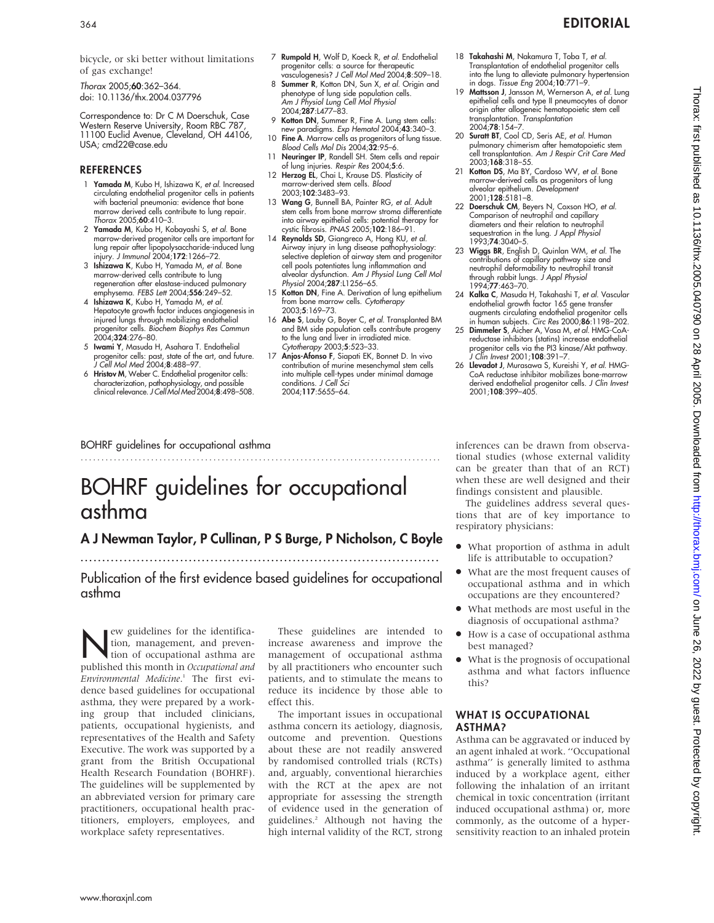bicycle, or ski better without limitations of gas exchange!

Thorax 2005;60:362–364. doi: 10.1136/thx.2004.037796

Correspondence to: Dr C M Doerschuk, Case Western Reserve University, Room RBC 787, 11100 Euclid Avenue, Cleveland, OH 44106, USA; cmd22@case.edu

## **REFERENCES**

asthma

asthma

- 1 Yamada M, Kubo H, Ishizawa K, et al. Increased circulating endothelial progenitor cells in patients with bacterial pneumonia: evidence that bone marrow derived cells contribute to lung repair. Thorax 2005;60:410–3.
- 2 Yamada M, Kubo H, Kobayashi S, et al. Bone marrow-derived progenitor cells are important for lung repair after lipopolysaccharide-induced lung injury. J Immunol 2004;172:1266–72.
- 3 Ishizawa K, Kubo H, Yamada M, et al. Bone marrow-derived cells contribute to lung regeneration after elastase-induced pulmonary emphysema. FEBS Lett 2004;556:249–52.
- 4 Ishizawa K, Kubo H, Yamada M, et al. Hepatocyte growth factor induces angiogenesis in injured lungs through mobilizing endothelial progenitor cells. Biochem Biophys Res Commun 2004;324:276–80.
- 5 Iwami Y, Masuda H, Asahara T. Endothelial progenitor cells: past, state of the art, and future. J Cell Mol Med 2004;8:488–97.
- 6 Hristov M, Weber C. Endothelial progenitor cells: characterization, pathophysiology, and possible clinical relevance.J Cell Mol Med 2004;8:498–508.

# BOHRF guidelines for occupational asthma

New guidelines for the identifica-<br>tion, management, and preven-<br>tion of occupational asthma are tion, management, and prevention of occupational asthma are published this month in Occupational and Environmental Medicine. <sup>1</sup> The first evidence based guidelines for occupational asthma, they were prepared by a working group that included clinicians, patients, occupational hygienists, and representatives of the Health and Safety Executive. The work was supported by a grant from the British Occupational Health Research Foundation (BOHRF). The guidelines will be supplemented by an abbreviated version for primary care practitioners, occupational health practitioners, employers, employees, and workplace safety representatives.

.......................................................................................

A J Newman Taylor, P Cullinan, P S Burge, P Nicholson, C Boyle ...................................................................................

Publication of the first evidence based guidelines for occupational

effect this.

BOHRF guidelines for occupational

- 7 Rumpold H, Wolf D, Koeck R, et al. Endothelial progenitor cells: a source for therapeutic vasculogenesis? J Cell Mol Med 2004;8:509–18.
- 8 **Summer R**, Kotton DN, Sun X, *et al.* Origin and<br>phenotype of lung side population cells.<br>Am J Physiol Lung Cell Mol Physiol 2004;287:L477–83.
- Kotton DN, Summer R, Fine A. Lung stem cells: new paradigms. Exp Hematol 2004;43:340–3.
- 10 **Fine A**. Marrow cells as progenitors of lung tissue. Blood Cells Mol Dis 2004;32:95–6.
- Neuringer IP, Randell SH. Stem cells and repair of lung injuries. Respir Res 2004;5:6.
- 12 Herzog EL, Chai L, Krause DS. Plasticity of marrow-derived stem cells. Blood 2003;102:3483–93.
- 13 Wang G, Bunnell BA, Painter RG, et al. Adult stem cells from bone marrow stroma differentiate into airway epithelial cells: potential therapy for cystic fibrosis. PNAS 2005;102:186–91.
- 14 Reynolds SD, Giangreco A, Hong KU, et al. Airway injury in lung disease pathophysiology: selective depletion of airway stem and progenitor<br>cell pools potentiates lung inflammation and<br>alveolar dysfunction. A*m J Physiol Lung Cell Mol* Physiol 2004;287:L1256–65.
- 15 Kotton DN, Fine A. Derivation of lung epithelium from bone marrow cells. Cytotherapy 2003;5:169–73.
- 16 Abe S, Lauby G, Boyer C, et al. Transplanted BM and BM side population cells contribute progeny to the lung and liver in irradiated mice. Cytotherapy 2003;5:523–33.
- 17 Anjos-Afonso F, Siapati EK, Bonnet D. In vivo contribution of murine mesenchymal stem cells into multiple cell-types under minimal damage conditions. J Cell Sci 2004;117:5655–64.

These guidelines are intended to increase awareness and improve the management of occupational asthma by all practitioners who encounter such patients, and to stimulate the means to reduce its incidence by those able to

The important issues in occupational asthma concern its aetiology, diagnosis, outcome and prevention. Questions about these are not readily answered by randomised controlled trials (RCTs) and, arguably, conventional hierarchies with the RCT at the apex are not appropriate for assessing the strength of evidence used in the generation of guidelines.2 Although not having the high internal validity of the RCT, strong

- 18 **Takahashi M**, Nakamura T, Toba T, *et al.*<br>Transplantation of endothelial progenitor cells into the lung to alleviate pulmonary hypertension in dogs. Tissue Eng 2004;10:771–9.
- 19 Mattsson J, Jansson M, Wernerson A, et al. Lung epithelial cells and type II pneumocytes of donor origin after allogeneic hematopoietic stem cell transplantation. Transplantation 2004;78:154–7.
- 20 **Suratt BT**, Cool CD, Seris AE, et al. Human pulmonary chimerism after hematopoietic stem cell transplantation. Am J Respir Crit Care Med 2003;168:318–55.
- 21 Kotton DS, Ma BY, Cardoso WV, et al. Bone marrow-derived cells as progenitors of lung alveolar epithelium. Development 2001;128:5181–8.
- 22 Doerschuk CM, Beyers N, Coxson HO, et al. Comparison of neutrophil and capillary diameters and their relation to neutrophil sequestration in the lung. J Appl Physiol 1993;74:3040–5.
- 23 Wiggs BR, English D, Quinlan WM, et al. The contributions of capillary pathway size and neutrophil deformability to neutrophil transit through rabbit lungs. J Appl Physiol 1994;77:463–70.
- 24 Kalka C, Masuda H, Takahashi T, et al. Vascular endothelial growth factor 165 gene transfer augments circulating endothelial progenitor cells
- in human subjects. Circ Res 2000;86:1198–202. 25 Dimmeler S, Aicher A, Vasa M, et al. HMG-CoAreductase inhibitors (statins) increase endothelial progenitor cells via the PI3 kinase/Akt pathway. J Clin Invest 2001;108:391–7.
- 26 Llevadot J, Murasawa S, Kureishi Y, et al. HMG-CoA reductase inhibitor mobilizes bone-marrow derived endothelial progenitor cells. J Clin Invest 2001;108:399–405.

inferences can be drawn from observational studies (whose external validity can be greater than that of an RCT) when these are well designed and their findings consistent and plausible.

The guidelines address several questions that are of key importance to respiratory physicians:

- What proportion of asthma in adult life is attributable to occupation?
- What are the most frequent causes of occupational asthma and in which occupations are they encountered?
- What methods are most useful in the diagnosis of occupational asthma?
- How is a case of occupational asthma best managed?
- What is the prognosis of occupational asthma and what factors influence this?

## WHAT IS OCCUPATIONAL ASTHMA?

Asthma can be aggravated or induced by an agent inhaled at work. ''Occupational asthma'' is generally limited to asthma induced by a workplace agent, either following the inhalation of an irritant chemical in toxic concentration (irritant induced occupational asthma) or, more commonly, as the outcome of a hypersensitivity reaction to an inhaled protein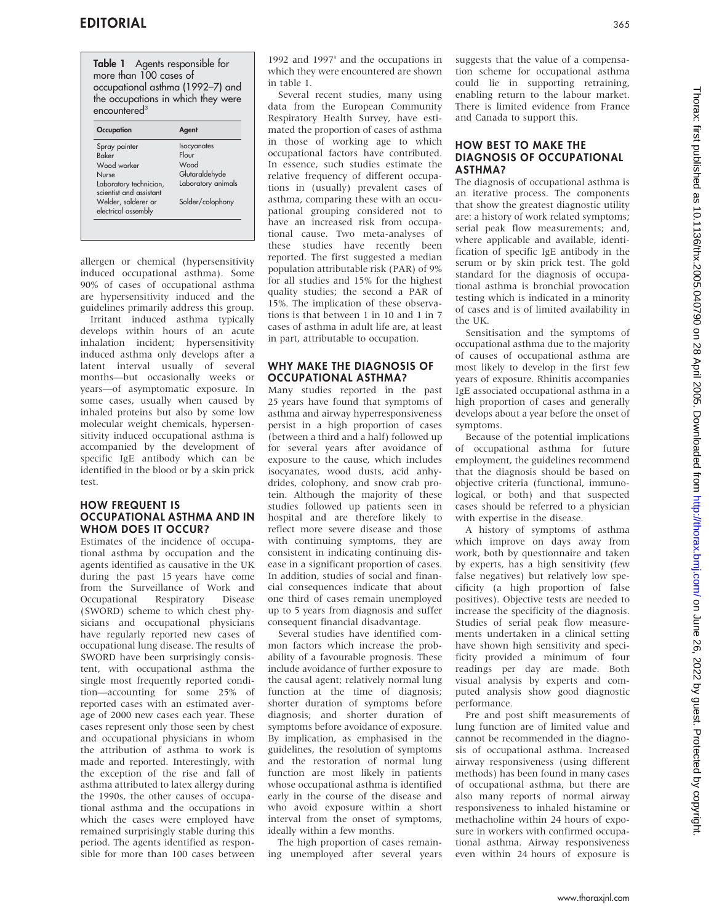# EDITORIAL <sup>365</sup>

Table 1 Agents responsible for more than 100 cases of occupational asthma (1992–7) and the occupations in which they were encountered<sup>3</sup>

| Occupation                                        | Agent              |
|---------------------------------------------------|--------------------|
| Spray painter                                     | Isocyanates        |
| <b>Baker</b>                                      | Flour              |
| Wood worker                                       | Wood               |
| Nurse                                             | Glutaraldehyde     |
| Laboratory technician,<br>scientist and assistant | Laboratory animals |
| Welder, solderer or<br>electrical assembly        | Solder/colophony   |

allergen or chemical (hypersensitivity induced occupational asthma). Some 90% of cases of occupational asthma are hypersensitivity induced and the guidelines primarily address this group.

Irritant induced asthma typically develops within hours of an acute inhalation incident; hypersensitivity induced asthma only develops after a latent interval usually of several months—but occasionally weeks or years—of asymptomatic exposure. In some cases, usually when caused by inhaled proteins but also by some low molecular weight chemicals, hypersensitivity induced occupational asthma is accompanied by the development of specific IgE antibody which can be identified in the blood or by a skin prick test.

#### HOW FREQUENT IS OCCUPATIONAL ASTHMA AND IN WHOM DOES IT OCCUR?

Estimates of the incidence of occupational asthma by occupation and the agents identified as causative in the UK during the past 15 years have come from the Surveillance of Work and Occupational Respiratory Disease (SWORD) scheme to which chest physicians and occupational physicians have regularly reported new cases of occupational lung disease. The results of SWORD have been surprisingly consistent, with occupational asthma the single most frequently reported condition—accounting for some 25% of reported cases with an estimated average of 2000 new cases each year. These cases represent only those seen by chest and occupational physicians in whom the attribution of asthma to work is made and reported. Interestingly, with the exception of the rise and fall of asthma attributed to latex allergy during the 1990s, the other causes of occupational asthma and the occupations in which the cases were employed have remained surprisingly stable during this period. The agents identified as responsible for more than 100 cases between

1992 and 1997<sup>3</sup> and the occupations in which they were encountered are shown in table 1.

Several recent studies, many using data from the European Community Respiratory Health Survey, have estimated the proportion of cases of asthma in those of working age to which occupational factors have contributed. In essence, such studies estimate the relative frequency of different occupations in (usually) prevalent cases of asthma, comparing these with an occupational grouping considered not to have an increased risk from occupational cause. Two meta-analyses of these studies have recently been reported. The first suggested a median population attributable risk (PAR) of 9% for all studies and 15% for the highest quality studies; the second a PAR of 15%. The implication of these observations is that between 1 in 10 and 1 in 7 cases of asthma in adult life are, at least in part, attributable to occupation.

#### WHY MAKE THE DIAGNOSIS OF OCCUPATIONAL ASTHMA?

Many studies reported in the past 25 years have found that symptoms of asthma and airway hyperresponsiveness persist in a high proportion of cases (between a third and a half) followed up for several years after avoidance of exposure to the cause, which includes isocyanates, wood dusts, acid anhydrides, colophony, and snow crab protein. Although the majority of these studies followed up patients seen in hospital and are therefore likely to reflect more severe disease and those with continuing symptoms, they are consistent in indicating continuing disease in a significant proportion of cases. In addition, studies of social and financial consequences indicate that about one third of cases remain unemployed up to 5 years from diagnosis and suffer consequent financial disadvantage.

Several studies have identified common factors which increase the probability of a favourable prognosis. These include avoidance of further exposure to the causal agent; relatively normal lung function at the time of diagnosis; shorter duration of symptoms before diagnosis; and shorter duration of symptoms before avoidance of exposure. By implication, as emphasised in the guidelines, the resolution of symptoms and the restoration of normal lung function are most likely in patients whose occupational asthma is identified early in the course of the disease and who avoid exposure within a short interval from the onset of symptoms, ideally within a few months.

The high proportion of cases remaining unemployed after several years suggests that the value of a compensation scheme for occupational asthma could lie in supporting retraining, enabling return to the labour market. There is limited evidence from France and Canada to support this.

#### HOW BEST TO MAKE THE DIAGNOSIS OF OCCUPATIONAL ASTHMA?

The diagnosis of occupational asthma is an iterative process. The components that show the greatest diagnostic utility are: a history of work related symptoms; serial peak flow measurements; and, where applicable and available, identification of specific IgE antibody in the serum or by skin prick test. The gold standard for the diagnosis of occupational asthma is bronchial provocation testing which is indicated in a minority of cases and is of limited availability in the UK.

Sensitisation and the symptoms of occupational asthma due to the majority of causes of occupational asthma are most likely to develop in the first few years of exposure. Rhinitis accompanies IgE associated occupational asthma in a high proportion of cases and generally develops about a year before the onset of symptoms.

Because of the potential implications of occupational asthma for future employment, the guidelines recommend that the diagnosis should be based on objective criteria (functional, immunological, or both) and that suspected cases should be referred to a physician with expertise in the disease.

A history of symptoms of asthma which improve on days away from work, both by questionnaire and taken by experts, has a high sensitivity (few false negatives) but relatively low specificity (a high proportion of false positives). Objective tests are needed to increase the specificity of the diagnosis. Studies of serial peak flow measurements undertaken in a clinical setting have shown high sensitivity and specificity provided a minimum of four readings per day are made. Both visual analysis by experts and computed analysis show good diagnostic performance.

Pre and post shift measurements of lung function are of limited value and cannot be recommended in the diagnosis of occupational asthma. Increased airway responsiveness (using different methods) has been found in many cases of occupational asthma, but there are also many reports of normal airway responsiveness to inhaled histamine or methacholine within 24 hours of exposure in workers with confirmed occupational asthma. Airway responsiveness even within 24 hours of exposure is